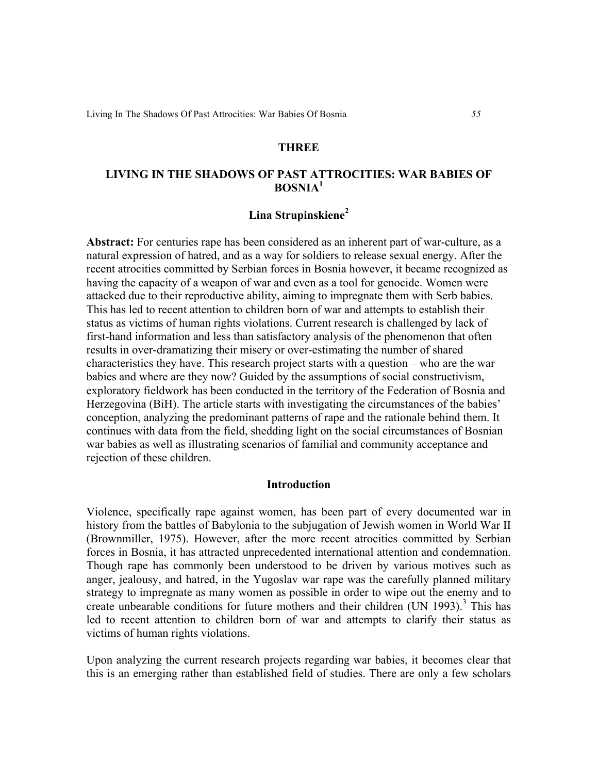# **THREE**

# **LIVING IN THE SHADOWS OF PAST ATTROCITIES: WAR BABIES OF BOSNIA1**

# **Lina Strupinskiene<sup>2</sup>**

**Abstract:** For centuries rape has been considered as an inherent part of war-culture, as a natural expression of hatred, and as a way for soldiers to release sexual energy. After the recent atrocities committed by Serbian forces in Bosnia however, it became recognized as having the capacity of a weapon of war and even as a tool for genocide. Women were attacked due to their reproductive ability, aiming to impregnate them with Serb babies. This has led to recent attention to children born of war and attempts to establish their status as victims of human rights violations. Current research is challenged by lack of first-hand information and less than satisfactory analysis of the phenomenon that often results in over-dramatizing their misery or over-estimating the number of shared characteristics they have. This research project starts with a question – who are the war babies and where are they now? Guided by the assumptions of social constructivism, exploratory fieldwork has been conducted in the territory of the Federation of Bosnia and Herzegovina (BiH). The article starts with investigating the circumstances of the babies' conception, analyzing the predominant patterns of rape and the rationale behind them. It continues with data from the field, shedding light on the social circumstances of Bosnian war babies as well as illustrating scenarios of familial and community acceptance and rejection of these children.

### **Introduction**

Violence, specifically rape against women, has been part of every documented war in history from the battles of Babylonia to the subjugation of Jewish women in World War II (Brownmiller, 1975). However, after the more recent atrocities committed by Serbian forces in Bosnia, it has attracted unprecedented international attention and condemnation. Though rape has commonly been understood to be driven by various motives such as anger, jealousy, and hatred, in the Yugoslav war rape was the carefully planned military strategy to impregnate as many women as possible in order to wipe out the enemy and to create unbearable conditions for future mothers and their children (UN 1993).<sup>3</sup> This has led to recent attention to children born of war and attempts to clarify their status as victims of human rights violations.

Upon analyzing the current research projects regarding war babies, it becomes clear that this is an emerging rather than established field of studies. There are only a few scholars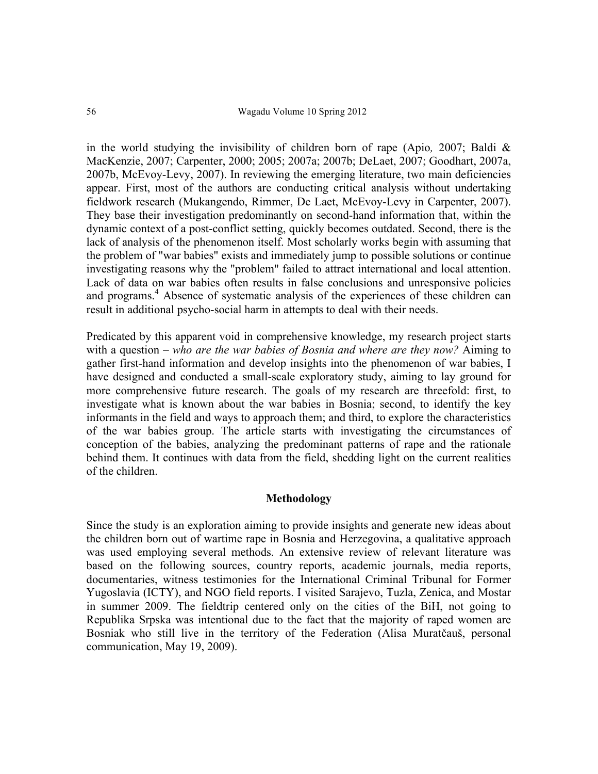in the world studying the invisibility of children born of rape (Apio*,* 2007; Baldi & MacKenzie, 2007; Carpenter, 2000; 2005; 2007a; 2007b; DeLaet, 2007; Goodhart, 2007a, 2007b, McEvoy-Levy, 2007). In reviewing the emerging literature, two main deficiencies appear. First, most of the authors are conducting critical analysis without undertaking fieldwork research (Mukangendo, Rimmer, De Laet, McEvoy-Levy in Carpenter, 2007). They base their investigation predominantly on second-hand information that, within the dynamic context of a post-conflict setting, quickly becomes outdated. Second, there is the lack of analysis of the phenomenon itself. Most scholarly works begin with assuming that the problem of "war babies" exists and immediately jump to possible solutions or continue investigating reasons why the "problem" failed to attract international and local attention. Lack of data on war babies often results in false conclusions and unresponsive policies and programs.<sup>4</sup> Absence of systematic analysis of the experiences of these children can result in additional psycho-social harm in attempts to deal with their needs.

Predicated by this apparent void in comprehensive knowledge, my research project starts with a question – *who are the war babies of Bosnia and where are they now?* Aiming to gather first-hand information and develop insights into the phenomenon of war babies, I have designed and conducted a small-scale exploratory study, aiming to lay ground for more comprehensive future research. The goals of my research are threefold: first, to investigate what is known about the war babies in Bosnia; second, to identify the key informants in the field and ways to approach them; and third, to explore the characteristics of the war babies group. The article starts with investigating the circumstances of conception of the babies, analyzing the predominant patterns of rape and the rationale behind them. It continues with data from the field, shedding light on the current realities of the children.

# **Methodology**

Since the study is an exploration aiming to provide insights and generate new ideas about the children born out of wartime rape in Bosnia and Herzegovina, a qualitative approach was used employing several methods. An extensive review of relevant literature was based on the following sources, country reports, academic journals, media reports, documentaries, witness testimonies for the International Criminal Tribunal for Former Yugoslavia (ICTY), and NGO field reports. I visited Sarajevo, Tuzla, Zenica, and Mostar in summer 2009. The fieldtrip centered only on the cities of the BiH, not going to Republika Srpska was intentional due to the fact that the majority of raped women are Bosniak who still live in the territory of the Federation (Alisa Muratčauš, personal communication, May 19, 2009).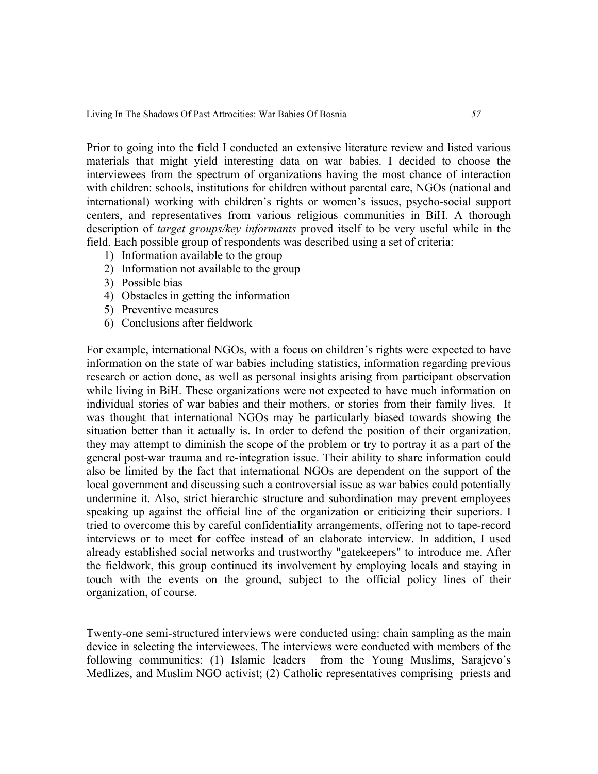Prior to going into the field I conducted an extensive literature review and listed various materials that might yield interesting data on war babies. I decided to choose the interviewees from the spectrum of organizations having the most chance of interaction with children: schools, institutions for children without parental care, NGOs (national and international) working with children's rights or women's issues, psycho-social support centers, and representatives from various religious communities in BiH. A thorough description of *target groups/key informants* proved itself to be very useful while in the field. Each possible group of respondents was described using a set of criteria:

- 1) Information available to the group
- 2) Information not available to the group
- 3) Possible bias
- 4) Obstacles in getting the information
- 5) Preventive measures
- 6) Conclusions after fieldwork

For example, international NGOs, with a focus on children's rights were expected to have information on the state of war babies including statistics, information regarding previous research or action done, as well as personal insights arising from participant observation while living in BiH. These organizations were not expected to have much information on individual stories of war babies and their mothers, or stories from their family lives. It was thought that international NGOs may be particularly biased towards showing the situation better than it actually is. In order to defend the position of their organization, they may attempt to diminish the scope of the problem or try to portray it as a part of the general post-war trauma and re-integration issue. Their ability to share information could also be limited by the fact that international NGOs are dependent on the support of the local government and discussing such a controversial issue as war babies could potentially undermine it. Also, strict hierarchic structure and subordination may prevent employees speaking up against the official line of the organization or criticizing their superiors. I tried to overcome this by careful confidentiality arrangements, offering not to tape-record interviews or to meet for coffee instead of an elaborate interview. In addition, I used already established social networks and trustworthy "gatekeepers" to introduce me. After the fieldwork, this group continued its involvement by employing locals and staying in touch with the events on the ground, subject to the official policy lines of their organization, of course.

Twenty-one semi-structured interviews were conducted using: chain sampling as the main device in selecting the interviewees. The interviews were conducted with members of the following communities: (1) Islamic leaders from the Young Muslims, Sarajevo's Medlizes, and Muslim NGO activist; (2) Catholic representatives comprising priests and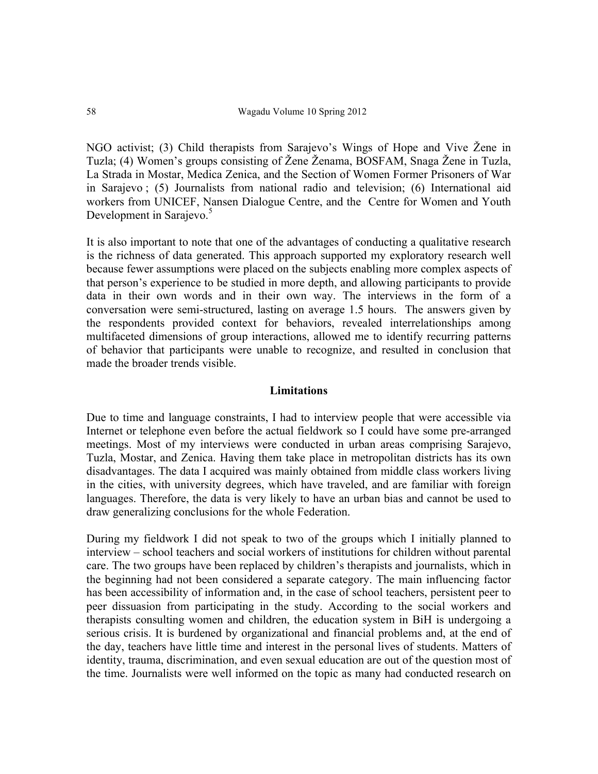NGO activist; (3) Child therapists from Sarajevo's Wings of Hope and Vive Žene in Tuzla; (4) Women's groups consisting of Žene Ženama, BOSFAM, Snaga Žene in Tuzla, La Strada in Mostar, Medica Zenica, and the Section of Women Former Prisoners of War in Sarajevo ; (5) Journalists from national radio and television; (6) International aid workers from UNICEF, Nansen Dialogue Centre, and the Centre for Women and Youth Development in Sarajevo.<sup>5</sup>

It is also important to note that one of the advantages of conducting a qualitative research is the richness of data generated. This approach supported my exploratory research well because fewer assumptions were placed on the subjects enabling more complex aspects of that person's experience to be studied in more depth, and allowing participants to provide data in their own words and in their own way. The interviews in the form of a conversation were semi-structured, lasting on average 1.5 hours. The answers given by the respondents provided context for behaviors, revealed interrelationships among multifaceted dimensions of group interactions, allowed me to identify recurring patterns of behavior that participants were unable to recognize, and resulted in conclusion that made the broader trends visible.

### **Limitations**

Due to time and language constraints, I had to interview people that were accessible via Internet or telephone even before the actual fieldwork so I could have some pre-arranged meetings. Most of my interviews were conducted in urban areas comprising Sarajevo, Tuzla, Mostar, and Zenica. Having them take place in metropolitan districts has its own disadvantages. The data I acquired was mainly obtained from middle class workers living in the cities, with university degrees, which have traveled, and are familiar with foreign languages. Therefore, the data is very likely to have an urban bias and cannot be used to draw generalizing conclusions for the whole Federation.

During my fieldwork I did not speak to two of the groups which I initially planned to interview – school teachers and social workers of institutions for children without parental care. The two groups have been replaced by children's therapists and journalists, which in the beginning had not been considered a separate category. The main influencing factor has been accessibility of information and, in the case of school teachers, persistent peer to peer dissuasion from participating in the study. According to the social workers and therapists consulting women and children, the education system in BiH is undergoing a serious crisis. It is burdened by organizational and financial problems and, at the end of the day, teachers have little time and interest in the personal lives of students. Matters of identity, trauma, discrimination, and even sexual education are out of the question most of the time. Journalists were well informed on the topic as many had conducted research on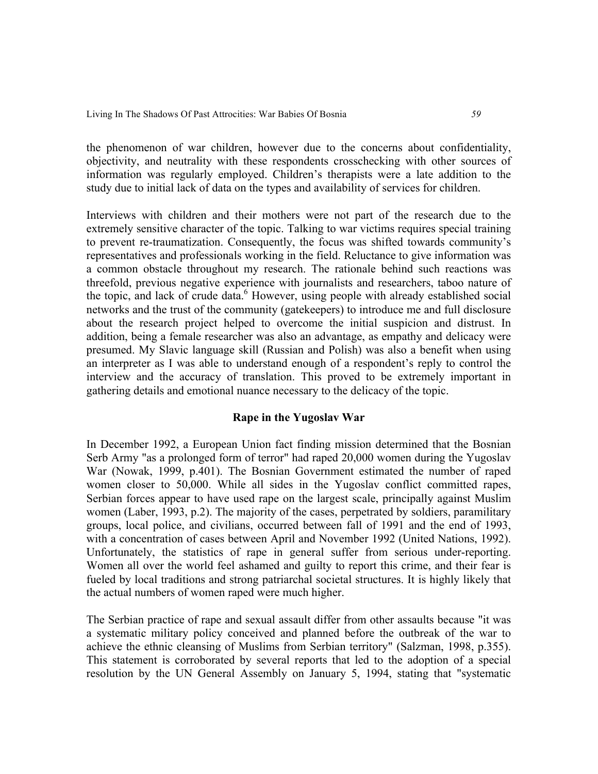the phenomenon of war children, however due to the concerns about confidentiality, objectivity, and neutrality with these respondents crosschecking with other sources of information was regularly employed. Children's therapists were a late addition to the study due to initial lack of data on the types and availability of services for children.

Interviews with children and their mothers were not part of the research due to the extremely sensitive character of the topic. Talking to war victims requires special training to prevent re-traumatization. Consequently, the focus was shifted towards community's representatives and professionals working in the field. Reluctance to give information was a common obstacle throughout my research. The rationale behind such reactions was threefold, previous negative experience with journalists and researchers, taboo nature of the topic, and lack of crude data.<sup>6</sup> However, using people with already established social networks and the trust of the community (gatekeepers) to introduce me and full disclosure about the research project helped to overcome the initial suspicion and distrust. In addition, being a female researcher was also an advantage, as empathy and delicacy were presumed. My Slavic language skill (Russian and Polish) was also a benefit when using an interpreter as I was able to understand enough of a respondent's reply to control the interview and the accuracy of translation. This proved to be extremely important in gathering details and emotional nuance necessary to the delicacy of the topic.

# **Rape in the Yugoslav War**

In December 1992, a European Union fact finding mission determined that the Bosnian Serb Army "as a prolonged form of terror" had raped 20,000 women during the Yugoslav War (Nowak, 1999, p.401). The Bosnian Government estimated the number of raped women closer to 50,000. While all sides in the Yugoslav conflict committed rapes, Serbian forces appear to have used rape on the largest scale, principally against Muslim women (Laber, 1993, p.2). The majority of the cases, perpetrated by soldiers, paramilitary groups, local police, and civilians, occurred between fall of 1991 and the end of 1993, with a concentration of cases between April and November 1992 (United Nations, 1992). Unfortunately, the statistics of rape in general suffer from serious under-reporting. Women all over the world feel ashamed and guilty to report this crime, and their fear is fueled by local traditions and strong patriarchal societal structures. It is highly likely that the actual numbers of women raped were much higher.

The Serbian practice of rape and sexual assault differ from other assaults because "it was a systematic military policy conceived and planned before the outbreak of the war to achieve the ethnic cleansing of Muslims from Serbian territory" (Salzman, 1998, p.355). This statement is corroborated by several reports that led to the adoption of a special resolution by the UN General Assembly on January 5, 1994, stating that "systematic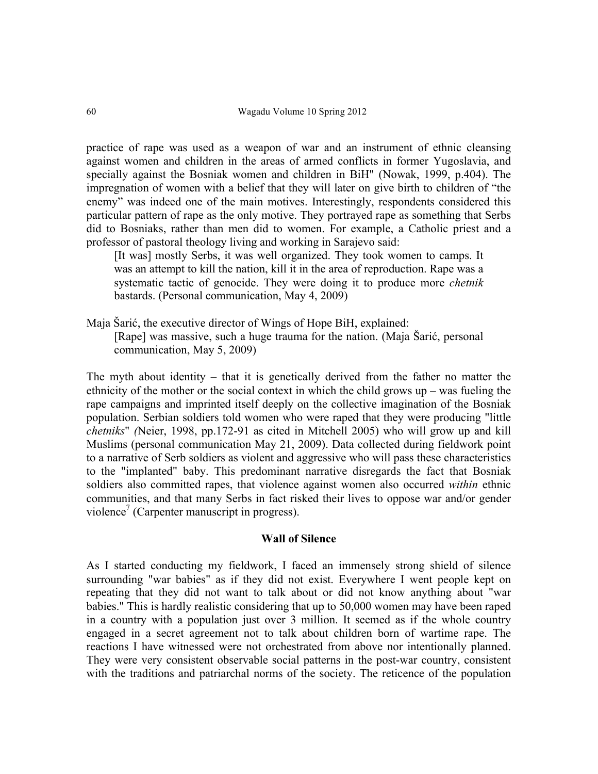practice of rape was used as a weapon of war and an instrument of ethnic cleansing against women and children in the areas of armed conflicts in former Yugoslavia, and specially against the Bosniak women and children in BiH" (Nowak, 1999, p.404). The impregnation of women with a belief that they will later on give birth to children of "the enemy" was indeed one of the main motives. Interestingly, respondents considered this particular pattern of rape as the only motive. They portrayed rape as something that Serbs did to Bosniaks, rather than men did to women. For example, a Catholic priest and a professor of pastoral theology living and working in Sarajevo said:

[It was] mostly Serbs, it was well organized. They took women to camps. It was an attempt to kill the nation, kill it in the area of reproduction. Rape was a systematic tactic of genocide. They were doing it to produce more *chetnik* bastards. (Personal communication, May 4, 2009)

Maja Šarić, the executive director of Wings of Hope BiH, explained: [Rape] was massive, such a huge trauma for the nation. (Maja Šarić, personal communication, May 5, 2009)

The myth about identity – that it is genetically derived from the father no matter the ethnicity of the mother or the social context in which the child grows up – was fueling the rape campaigns and imprinted itself deeply on the collective imagination of the Bosniak population. Serbian soldiers told women who were raped that they were producing "little *chetniks*" *(*Neier, 1998, pp.172-91 as cited in Mitchell 2005) who will grow up and kill Muslims (personal communication May 21, 2009). Data collected during fieldwork point to a narrative of Serb soldiers as violent and aggressive who will pass these characteristics to the "implanted" baby. This predominant narrative disregards the fact that Bosniak soldiers also committed rapes, that violence against women also occurred *within* ethnic communities, and that many Serbs in fact risked their lives to oppose war and/or gender violence<sup>7</sup> (Carpenter manuscript in progress).

# **Wall of Silence**

As I started conducting my fieldwork, I faced an immensely strong shield of silence surrounding "war babies" as if they did not exist. Everywhere I went people kept on repeating that they did not want to talk about or did not know anything about "war babies." This is hardly realistic considering that up to 50,000 women may have been raped in a country with a population just over 3 million. It seemed as if the whole country engaged in a secret agreement not to talk about children born of wartime rape. The reactions I have witnessed were not orchestrated from above nor intentionally planned. They were very consistent observable social patterns in the post-war country, consistent with the traditions and patriarchal norms of the society. The reticence of the population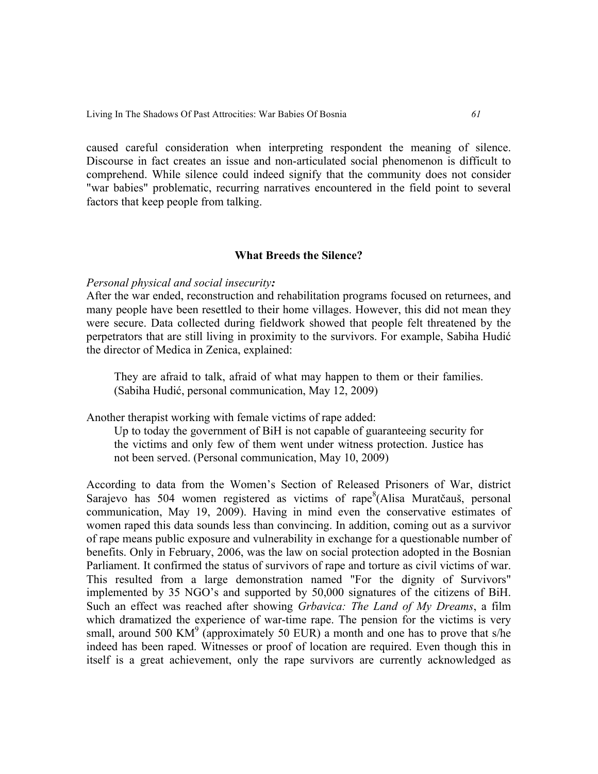caused careful consideration when interpreting respondent the meaning of silence. Discourse in fact creates an issue and non-articulated social phenomenon is difficult to comprehend. While silence could indeed signify that the community does not consider "war babies" problematic, recurring narratives encountered in the field point to several factors that keep people from talking.

# **What Breeds the Silence?**

# *Personal physical and social insecurity:*

After the war ended, reconstruction and rehabilitation programs focused on returnees, and many people have been resettled to their home villages. However, this did not mean they were secure. Data collected during fieldwork showed that people felt threatened by the perpetrators that are still living in proximity to the survivors. For example, Sabiha Hudić the director of Medica in Zenica, explained:

They are afraid to talk, afraid of what may happen to them or their families. (Sabiha Hudić, personal communication, May 12, 2009)

Another therapist working with female victims of rape added:

Up to today the government of BiH is not capable of guaranteeing security for the victims and only few of them went under witness protection. Justice has not been served. (Personal communication, May 10, 2009)

According to data from the Women's Section of Released Prisoners of War, district Sarajevo has 504 women registered as victims of rape<sup>8</sup>(Alisa Muratčauš, personal communication, May 19, 2009). Having in mind even the conservative estimates of women raped this data sounds less than convincing. In addition, coming out as a survivor of rape means public exposure and vulnerability in exchange for a questionable number of benefits. Only in February, 2006, was the law on social protection adopted in the Bosnian Parliament. It confirmed the status of survivors of rape and torture as civil victims of war. This resulted from a large demonstration named "For the dignity of Survivors" implemented by 35 NGO's and supported by 50,000 signatures of the citizens of BiH. Such an effect was reached after showing *Grbavica: The Land of My Dreams*, a film which dramatized the experience of war-time rape. The pension for the victims is very small, around 500 KM<sup>9</sup> (approximately 50 EUR) a month and one has to prove that s/he indeed has been raped. Witnesses or proof of location are required. Even though this in itself is a great achievement, only the rape survivors are currently acknowledged as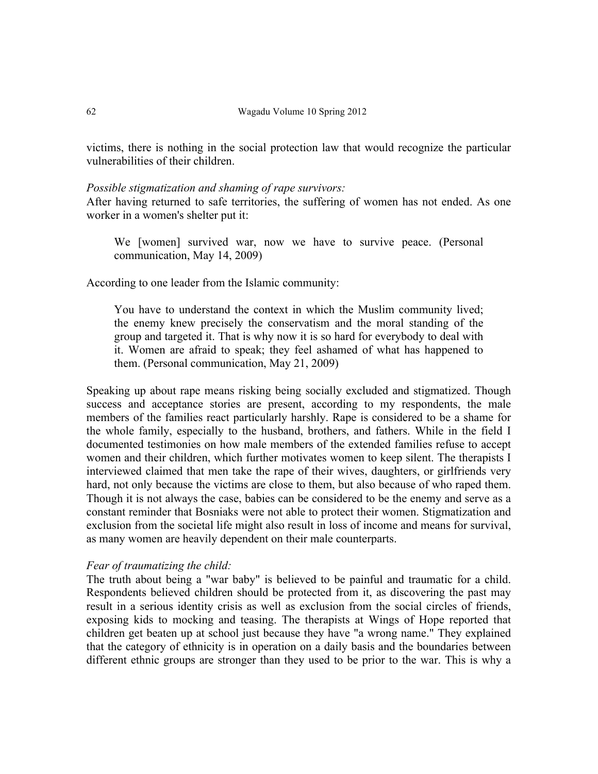victims, there is nothing in the social protection law that would recognize the particular vulnerabilities of their children.

### *Possible stigmatization and shaming of rape survivors:*

After having returned to safe territories, the suffering of women has not ended. As one worker in a women's shelter put it:

We [women] survived war, now we have to survive peace. (Personal communication, May 14, 2009)

According to one leader from the Islamic community:

You have to understand the context in which the Muslim community lived; the enemy knew precisely the conservatism and the moral standing of the group and targeted it. That is why now it is so hard for everybody to deal with it. Women are afraid to speak; they feel ashamed of what has happened to them. (Personal communication, May 21, 2009)

Speaking up about rape means risking being socially excluded and stigmatized. Though success and acceptance stories are present, according to my respondents, the male members of the families react particularly harshly. Rape is considered to be a shame for the whole family, especially to the husband, brothers, and fathers. While in the field I documented testimonies on how male members of the extended families refuse to accept women and their children, which further motivates women to keep silent. The therapists I interviewed claimed that men take the rape of their wives, daughters, or girlfriends very hard, not only because the victims are close to them, but also because of who raped them. Though it is not always the case, babies can be considered to be the enemy and serve as a constant reminder that Bosniaks were not able to protect their women. Stigmatization and exclusion from the societal life might also result in loss of income and means for survival, as many women are heavily dependent on their male counterparts.

# *Fear of traumatizing the child:*

The truth about being a "war baby" is believed to be painful and traumatic for a child. Respondents believed children should be protected from it, as discovering the past may result in a serious identity crisis as well as exclusion from the social circles of friends, exposing kids to mocking and teasing. The therapists at Wings of Hope reported that children get beaten up at school just because they have "a wrong name." They explained that the category of ethnicity is in operation on a daily basis and the boundaries between different ethnic groups are stronger than they used to be prior to the war. This is why a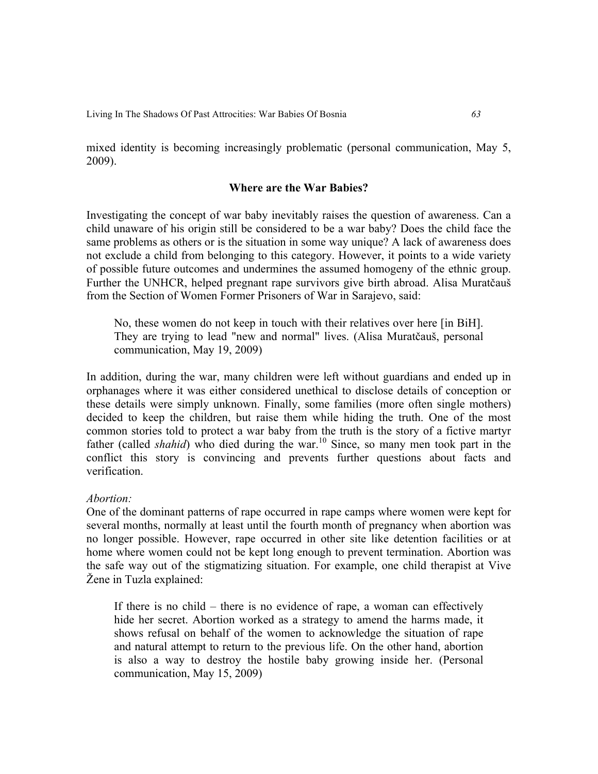mixed identity is becoming increasingly problematic (personal communication, May 5, 2009).

# **Where are the War Babies?**

Investigating the concept of war baby inevitably raises the question of awareness. Can a child unaware of his origin still be considered to be a war baby? Does the child face the same problems as others or is the situation in some way unique? A lack of awareness does not exclude a child from belonging to this category. However, it points to a wide variety of possible future outcomes and undermines the assumed homogeny of the ethnic group. Further the UNHCR, helped pregnant rape survivors give birth abroad. Alisa Muratčauš from the Section of Women Former Prisoners of War in Sarajevo, said:

No, these women do not keep in touch with their relatives over here [in BiH]. They are trying to lead "new and normal" lives. (Alisa Muratčauš, personal communication, May 19, 2009)

In addition, during the war, many children were left without guardians and ended up in orphanages where it was either considered unethical to disclose details of conception or these details were simply unknown. Finally, some families (more often single mothers) decided to keep the children, but raise them while hiding the truth. One of the most common stories told to protect a war baby from the truth is the story of a fictive martyr father (called *shahid*) who died during the war.<sup>10</sup> Since, so many men took part in the conflict this story is convincing and prevents further questions about facts and verification.

### *Abortion:*

One of the dominant patterns of rape occurred in rape camps where women were kept for several months, normally at least until the fourth month of pregnancy when abortion was no longer possible. However, rape occurred in other site like detention facilities or at home where women could not be kept long enough to prevent termination. Abortion was the safe way out of the stigmatizing situation. For example, one child therapist at Vive Žene in Tuzla explained:

If there is no child – there is no evidence of rape, a woman can effectively hide her secret. Abortion worked as a strategy to amend the harms made, it shows refusal on behalf of the women to acknowledge the situation of rape and natural attempt to return to the previous life. On the other hand, abortion is also a way to destroy the hostile baby growing inside her. (Personal communication, May 15, 2009)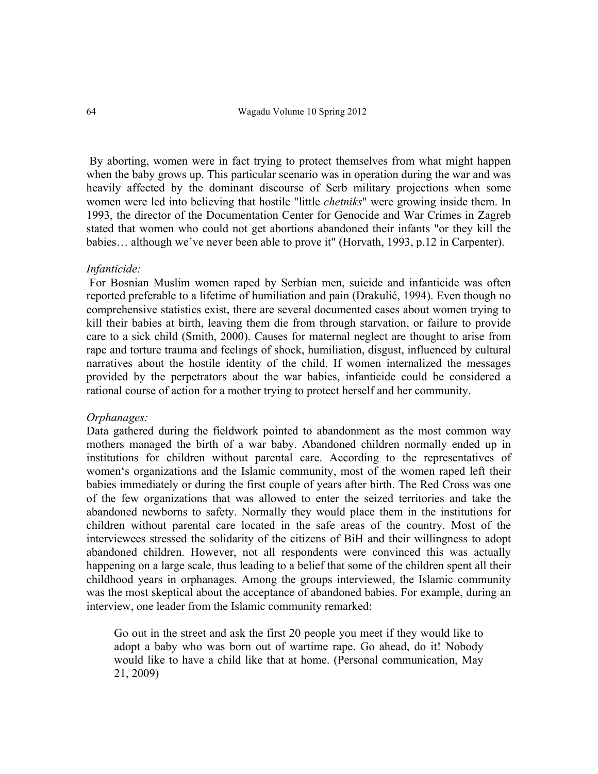By aborting, women were in fact trying to protect themselves from what might happen when the baby grows up. This particular scenario was in operation during the war and was heavily affected by the dominant discourse of Serb military projections when some women were led into believing that hostile "little *chetniks*" were growing inside them. In 1993, the director of the Documentation Center for Genocide and War Crimes in Zagreb stated that women who could not get abortions abandoned their infants "or they kill the babies… although we've never been able to prove it" (Horvath, 1993, p.12 in Carpenter).

### *Infanticide:*

For Bosnian Muslim women raped by Serbian men, suicide and infanticide was often reported preferable to a lifetime of humiliation and pain (Drakulić, 1994). Even though no comprehensive statistics exist, there are several documented cases about women trying to kill their babies at birth, leaving them die from through starvation, or failure to provide care to a sick child (Smith, 2000). Causes for maternal neglect are thought to arise from rape and torture trauma and feelings of shock, humiliation, disgust, influenced by cultural narratives about the hostile identity of the child. If women internalized the messages provided by the perpetrators about the war babies, infanticide could be considered a rational course of action for a mother trying to protect herself and her community.

### *Orphanages:*

Data gathered during the fieldwork pointed to abandonment as the most common way mothers managed the birth of a war baby. Abandoned children normally ended up in institutions for children without parental care. According to the representatives of women's organizations and the Islamic community, most of the women raped left their babies immediately or during the first couple of years after birth. The Red Cross was one of the few organizations that was allowed to enter the seized territories and take the abandoned newborns to safety. Normally they would place them in the institutions for children without parental care located in the safe areas of the country. Most of the interviewees stressed the solidarity of the citizens of BiH and their willingness to adopt abandoned children. However, not all respondents were convinced this was actually happening on a large scale, thus leading to a belief that some of the children spent all their childhood years in orphanages. Among the groups interviewed, the Islamic community was the most skeptical about the acceptance of abandoned babies. For example, during an interview, one leader from the Islamic community remarked:

Go out in the street and ask the first 20 people you meet if they would like to adopt a baby who was born out of wartime rape. Go ahead, do it! Nobody would like to have a child like that at home. (Personal communication, May 21, 2009)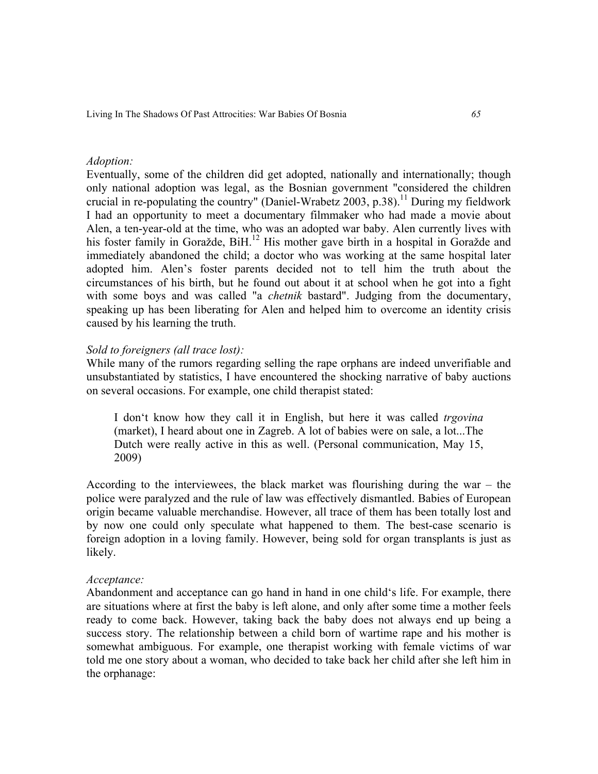# *Adoption:*

Eventually, some of the children did get adopted, nationally and internationally; though only national adoption was legal, as the Bosnian government "considered the children crucial in re-populating the country" (Daniel-Wrabetz 2003, p.38).<sup>11</sup> During my fieldwork I had an opportunity to meet a documentary filmmaker who had made a movie about Alen, a ten-year-old at the time, who was an adopted war baby. Alen currently lives with his foster family in Goražde, BiH.<sup>12</sup> His mother gave birth in a hospital in Goražde and immediately abandoned the child; a doctor who was working at the same hospital later adopted him. Alen's foster parents decided not to tell him the truth about the circumstances of his birth, but he found out about it at school when he got into a fight with some boys and was called "a *chetnik* bastard". Judging from the documentary, speaking up has been liberating for Alen and helped him to overcome an identity crisis caused by his learning the truth.

# *Sold to foreigners (all trace lost):*

While many of the rumors regarding selling the rape orphans are indeed unverifiable and unsubstantiated by statistics, I have encountered the shocking narrative of baby auctions on several occasions. For example, one child therapist stated:

I don't know how they call it in English, but here it was called *trgovina*  (market), I heard about one in Zagreb. A lot of babies were on sale, a lot...The Dutch were really active in this as well. (Personal communication, May 15, 2009)

According to the interviewees, the black market was flourishing during the war – the police were paralyzed and the rule of law was effectively dismantled. Babies of European origin became valuable merchandise. However, all trace of them has been totally lost and by now one could only speculate what happened to them. The best-case scenario is foreign adoption in a loving family. However, being sold for organ transplants is just as likely.

# *Acceptance:*

Abandonment and acceptance can go hand in hand in one child's life. For example, there are situations where at first the baby is left alone, and only after some time a mother feels ready to come back. However, taking back the baby does not always end up being a success story. The relationship between a child born of wartime rape and his mother is somewhat ambiguous. For example, one therapist working with female victims of war told me one story about a woman, who decided to take back her child after she left him in the orphanage: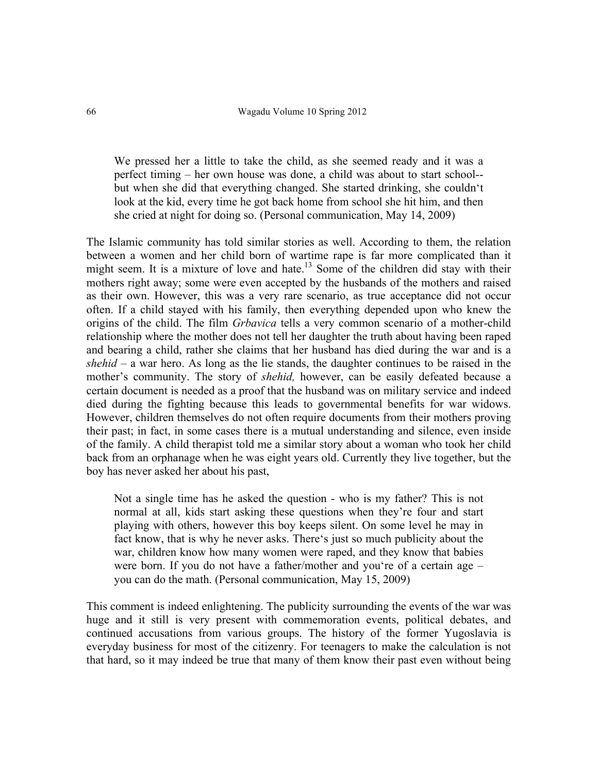We pressed her a little to take the child, as she seemed ready and it was a perfect timing – her own house was done, a child was about to start school- but when she did that everything changed. She started drinking, she couldn't look at the kid, every time he got back home from school she hit him, and then she cried at night for doing so. (Personal communication, May 14, 2009)

The Islamic community has told similar stories as well. According to them, the relation between a women and her child born of wartime rape is far more complicated than it might seem. It is a mixture of love and hate.<sup>13</sup> Some of the children did stay with their mothers right away; some were even accepted by the husbands of the mothers and raised as their own. However, this was a very rare scenario, as true acceptance did not occur often. If a child stayed with his family, then everything depended upon who knew the origins of the child. The film *Grbavica* tells a very common scenario of a mother-child relationship where the mother does not tell her daughter the truth about having been raped and bearing a child, rather she claims that her husband has died during the war and is a *shehid* – a war hero. As long as the lie stands, the daughter continues to be raised in the mother's community. The story of *shehid,* however, can be easily defeated because a certain document is needed as a proof that the husband was on military service and indeed died during the fighting because this leads to governmental benefits for war widows. However, children themselves do not often require documents from their mothers proving their past; in fact, in some cases there is a mutual understanding and silence, even inside of the family. A child therapist told me a similar story about a woman who took her child back from an orphanage when he was eight years old. Currently they live together, but the boy has never asked her about his past,

Not a single time has he asked the question - who is my father? This is not normal at all, kids start asking these questions when they're four and start playing with others, however this boy keeps silent. On some level he may in fact know, that is why he never asks. There's just so much publicity about the war, children know how many women were raped, and they know that babies were born. If you do not have a father/mother and you're of a certain age – you can do the math. (Personal communication, May 15, 2009)

This comment is indeed enlightening. The publicity surrounding the events of the war was huge and it still is very present with commemoration events, political debates, and continued accusations from various groups. The history of the former Yugoslavia is everyday business for most of the citizenry. For teenagers to make the calculation is not that hard, so it may indeed be true that many of them know their past even without being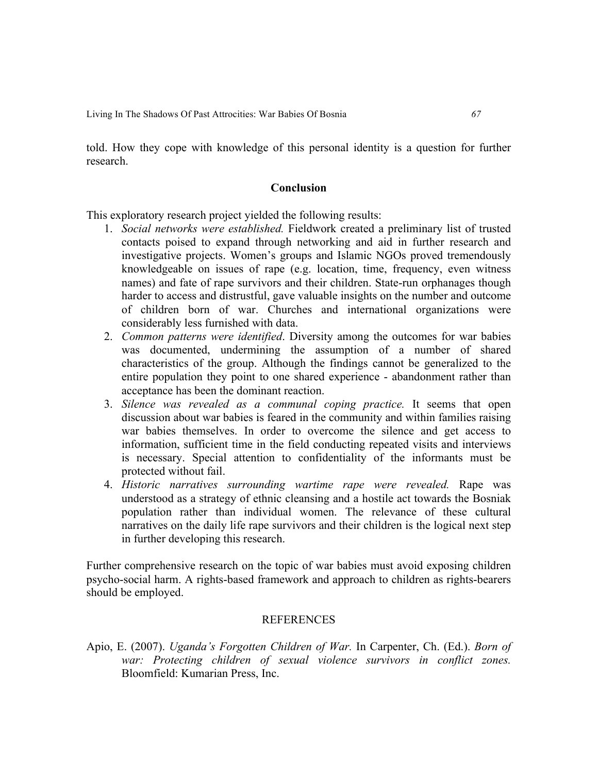told. How they cope with knowledge of this personal identity is a question for further research.

# **Conclusion**

This exploratory research project yielded the following results:

- 1. *Social networks were established.* Fieldwork created a preliminary list of trusted contacts poised to expand through networking and aid in further research and investigative projects. Women's groups and Islamic NGOs proved tremendously knowledgeable on issues of rape (e.g. location, time, frequency, even witness names) and fate of rape survivors and their children. State-run orphanages though harder to access and distrustful, gave valuable insights on the number and outcome of children born of war. Churches and international organizations were considerably less furnished with data.
- 2. *Common patterns were identified*. Diversity among the outcomes for war babies was documented, undermining the assumption of a number of shared characteristics of the group. Although the findings cannot be generalized to the entire population they point to one shared experience - abandonment rather than acceptance has been the dominant reaction.
- 3. *Silence was revealed as a communal coping practice.* It seems that open discussion about war babies is feared in the community and within families raising war babies themselves. In order to overcome the silence and get access to information, sufficient time in the field conducting repeated visits and interviews is necessary. Special attention to confidentiality of the informants must be protected without fail.
- 4. *Historic narratives surrounding wartime rape were revealed.* Rape was understood as a strategy of ethnic cleansing and a hostile act towards the Bosniak population rather than individual women. The relevance of these cultural narratives on the daily life rape survivors and their children is the logical next step in further developing this research.

Further comprehensive research on the topic of war babies must avoid exposing children psycho-social harm. A rights-based framework and approach to children as rights-bearers should be employed.

### REFERENCES

Apio, E. (2007). *Uganda's Forgotten Children of War.* In Carpenter, Ch. (Ed.). *Born of*  war: Protecting children of sexual violence survivors in conflict zones. Bloomfield: Kumarian Press, Inc.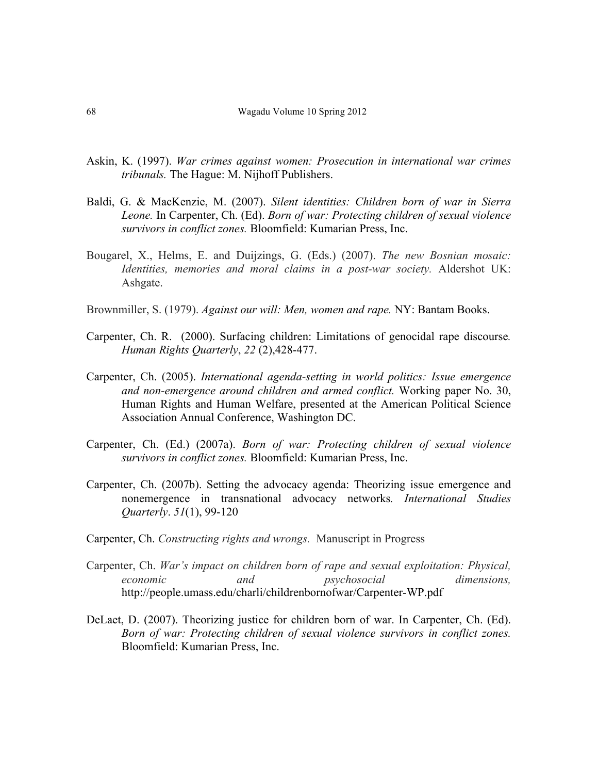- Askin, K. (1997). *War crimes against women: Prosecution in international war crimes tribunals.* The Hague: M. Nijhoff Publishers.
- Baldi, G. & MacKenzie, M. (2007). *Silent identities: Children born of war in Sierra Leone.* In Carpenter, Ch. (Ed). *Born of war: Protecting children of sexual violence survivors in conflict zones.* Bloomfield: Kumarian Press, Inc.
- Bougarel, X., Helms, E. and Duijzings, G. (Eds.) (2007). *The new Bosnian mosaic: Identities, memories and moral claims in a post-war society.* Aldershot UK: Ashgate.
- Brownmiller, S. (1979). *Against our will: Men, women and rape.* NY: Bantam Books.
- Carpenter, Ch. R. (2000). Surfacing children: Limitations of genocidal rape discourse*. Human Rights Quarterly*, *22* (2),428-477.
- Carpenter, Ch. (2005). *International agenda-setting in world politics: Issue emergence and non-emergence around children and armed conflict.* Working paper No. 30, Human Rights and Human Welfare, presented at the American Political Science Association Annual Conference, Washington DC.
- Carpenter, Ch. (Ed.) (2007a). *Born of war: Protecting children of sexual violence survivors in conflict zones.* Bloomfield: Kumarian Press, Inc.
- Carpenter, Ch. (2007b). Setting the advocacy agenda: Theorizing issue emergence and nonemergence in transnational advocacy networks*. International Studies Quarterly*. *51*(1), 99-120
- Carpenter, Ch. *Constructing rights and wrongs.* Manuscript in Progress
- Carpenter, Ch. *War's impact on children born of rape and sexual exploitation: Physical, economic and psychosocial dimensions,*  http://people.umass.edu/charli/childrenbornofwar/Carpenter-WP.pdf
- DeLaet, D. (2007). Theorizing justice for children born of war. In Carpenter, Ch. (Ed). *Born of war: Protecting children of sexual violence survivors in conflict zones.*  Bloomfield: Kumarian Press, Inc.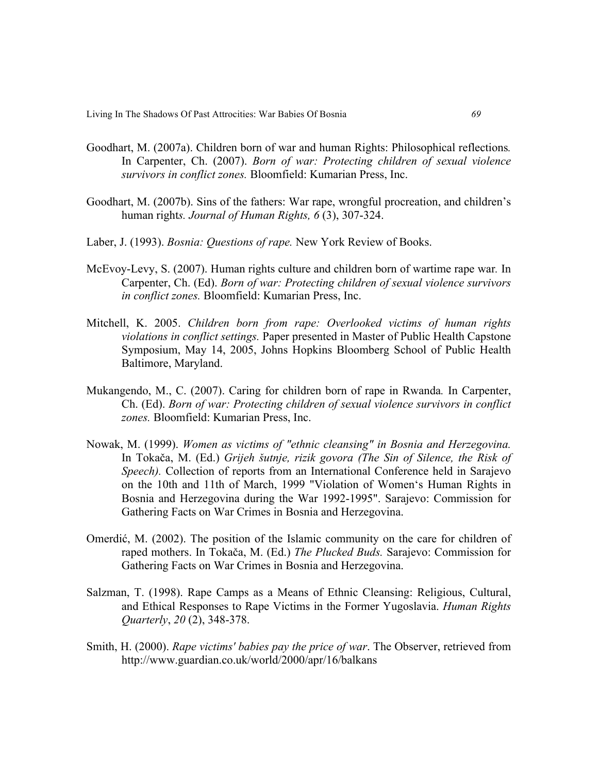- Goodhart, M. (2007a). Children born of war and human Rights: Philosophical reflections*.*  In Carpenter, Ch. (2007). *Born of war: Protecting children of sexual violence survivors in conflict zones.* Bloomfield: Kumarian Press, Inc.
- Goodhart, M. (2007b). Sins of the fathers: War rape, wrongful procreation, and children's human right*s. Journal of Human Rights, 6* (3), 307-324.
- Laber, J. (1993). *Bosnia: Questions of rape.* New York Review of Books.
- McEvoy-Levy, S. (2007). Human rights culture and children born of wartime rape war*.* In Carpenter, Ch. (Ed). *Born of war: Protecting children of sexual violence survivors in conflict zones.* Bloomfield: Kumarian Press, Inc.
- Mitchell, K. 2005. *Children born from rape: Overlooked victims of human rights violations in conflict settings.* Paper presented in Master of Public Health Capstone Symposium, May 14, 2005, Johns Hopkins Bloomberg School of Public Health Baltimore, Maryland.
- Mukangendo, M., C. (2007). Caring for children born of rape in Rwanda*.* In Carpenter, Ch. (Ed). *Born of war: Protecting children of sexual violence survivors in conflict zones.* Bloomfield: Kumarian Press, Inc.
- Nowak, M. (1999). *Women as victims of "ethnic cleansing" in Bosnia and Herzegovina.*  In Tokača, M. (Ed.) *Grijeh šutnje, rizik govora (The Sin of Silence, the Risk of Speech).* Collection of reports from an International Conference held in Sarajevo on the 10th and 11th of March, 1999 "Violation of Women's Human Rights in Bosnia and Herzegovina during the War 1992-1995". Sarajevo: Commission for Gathering Facts on War Crimes in Bosnia and Herzegovina.
- Omerdić, M. (2002). The position of the Islamic community on the care for children of raped mothers. In Tokača, M. (Ed.) *The Plucked Buds.* Sarajevo: Commission for Gathering Facts on War Crimes in Bosnia and Herzegovina.
- Salzman, T. (1998). Rape Camps as a Means of Ethnic Cleansing: Religious, Cultural, and Ethical Responses to Rape Victims in the Former Yugoslavia. *Human Rights Quarterly*, *20* (2), 348-378.
- Smith, H. (2000). *Rape victims' babies pay the price of war*. The Observer, retrieved from http://www.guardian.co.uk/world/2000/apr/16/balkans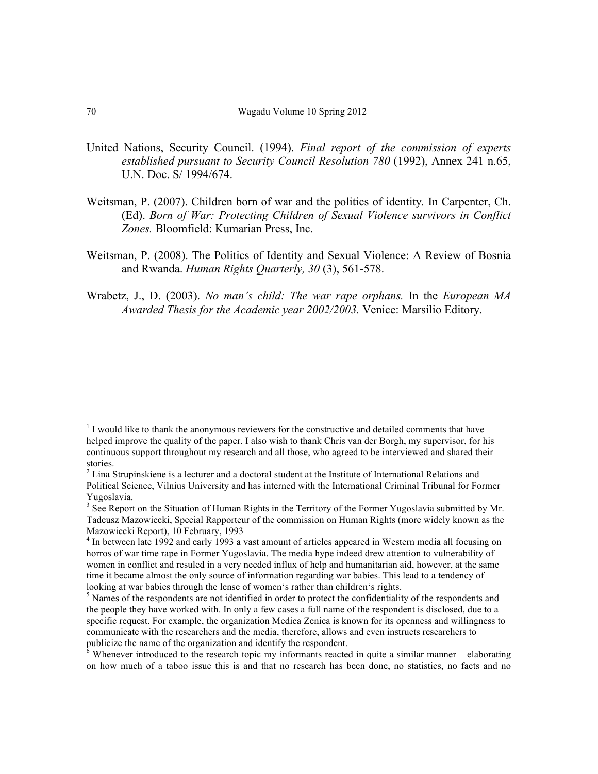- United Nations, Security Council. (1994). *Final report of the commission of experts established pursuant to Security Council Resolution 780* (1992), Annex 241 n.65, U.N. Doc. S/ 1994/674.
- Weitsman, P. (2007). Children born of war and the politics of identity*.* In Carpenter, Ch. (Ed). *Born of War: Protecting Children of Sexual Violence survivors in Conflict Zones.* Bloomfield: Kumarian Press, Inc.
- Weitsman, P. (2008). The Politics of Identity and Sexual Violence: A Review of Bosnia and Rwanda. *Human Rights Quarterly, 30* (3), 561-578.
- Wrabetz, J., D. (2003). *No man's child: The war rape orphans.* In the *European MA Awarded Thesis for the Academic year 2002/2003.* Venice: Marsilio Editory.

<sup>&</sup>lt;sup>1</sup> I would like to thank the anonymous reviewers for the constructive and detailed comments that have helped improve the quality of the paper. I also wish to thank Chris van der Borgh, my supervisor, for his continuous support throughout my research and all those, who agreed to be interviewed and shared their stories.

<sup>&</sup>lt;sup>2</sup> Lina Strupinskiene is a lecturer and a doctoral student at the Institute of International Relations and Political Science, Vilnius University and has interned with the International Criminal Tribunal for Former Yugoslavia.

<sup>&</sup>lt;sup>3</sup> See Report on the Situation of Human Rights in the Territory of the Former Yugoslavia submitted by Mr. Tadeusz Mazowiecki, Special Rapporteur of the commission on Human Rights (more widely known as the Mazowiecki Report), 10 February, 1993

<sup>&</sup>lt;sup>4</sup> In between late 1992 and early 1993 a vast amount of articles appeared in Western media all focusing on horros of war time rape in Former Yugoslavia. The media hype indeed drew attention to vulnerability of women in conflict and resuled in a very needed influx of help and humanitarian aid, however, at the same time it became almost the only source of information regarding war babies. This lead to a tendency of looking at war babies through the lense of women's rather than children's rights.

<sup>&</sup>lt;sup>5</sup> Names of the respondents are not identified in order to protect the confidentiality of the respondents and the people they have worked with. In only a few cases a full name of the respondent is disclosed, due to a specific request. For example, the organization Medica Zenica is known for its openness and willingness to communicate with the researchers and the media, therefore, allows and even instructs researchers to publicize the name of the organization and identify the respondent.

 $6$  Whenever introduced to the research topic my informants reacted in quite a similar manner – elaborating on how much of a taboo issue this is and that no research has been done, no statistics, no facts and no